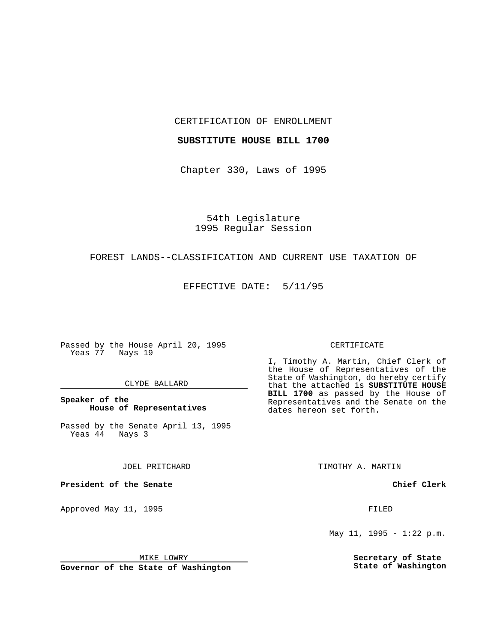### CERTIFICATION OF ENROLLMENT

## **SUBSTITUTE HOUSE BILL 1700**

Chapter 330, Laws of 1995

54th Legislature 1995 Regular Session

## FOREST LANDS--CLASSIFICATION AND CURRENT USE TAXATION OF

EFFECTIVE DATE: 5/11/95

Passed by the House April 20, 1995 Yeas 77 Nays 19

### CLYDE BALLARD

## **Speaker of the House of Representatives**

Passed by the Senate April 13, 1995<br>Yeas 44 Nays 3  $Yeas$   $44$ 

#### JOEL PRITCHARD

**President of the Senate**

Approved May 11, 1995 **FILED** 

MIKE LOWRY

**Governor of the State of Washington**

#### CERTIFICATE

I, Timothy A. Martin, Chief Clerk of the House of Representatives of the State of Washington, do hereby certify that the attached is **SUBSTITUTE HOUSE BILL 1700** as passed by the House of Representatives and the Senate on the dates hereon set forth.

TIMOTHY A. MARTIN

**Chief Clerk**

May 11, 1995 - 1:22 p.m.

**Secretary of State State of Washington**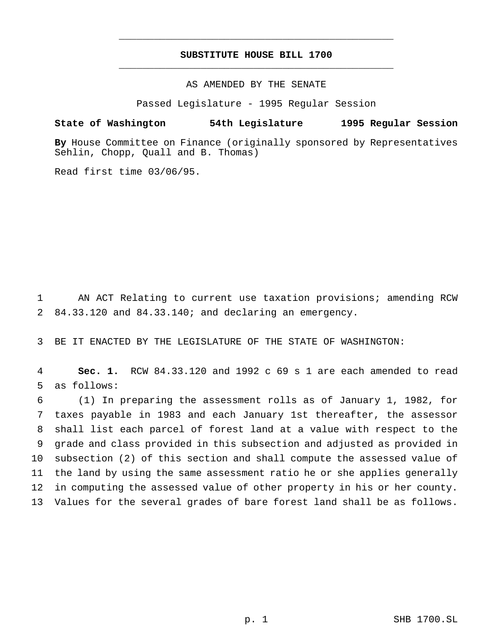# **SUBSTITUTE HOUSE BILL 1700** \_\_\_\_\_\_\_\_\_\_\_\_\_\_\_\_\_\_\_\_\_\_\_\_\_\_\_\_\_\_\_\_\_\_\_\_\_\_\_\_\_\_\_\_\_\_\_

\_\_\_\_\_\_\_\_\_\_\_\_\_\_\_\_\_\_\_\_\_\_\_\_\_\_\_\_\_\_\_\_\_\_\_\_\_\_\_\_\_\_\_\_\_\_\_

# AS AMENDED BY THE SENATE

Passed Legislature - 1995 Regular Session

#### **State of Washington 54th Legislature 1995 Regular Session**

**By** House Committee on Finance (originally sponsored by Representatives Sehlin, Chopp, Quall and B. Thomas)

Read first time 03/06/95.

1 AN ACT Relating to current use taxation provisions; amending RCW 2 84.33.120 and 84.33.140; and declaring an emergency.

3 BE IT ENACTED BY THE LEGISLATURE OF THE STATE OF WASHINGTON:

4 **Sec. 1.** RCW 84.33.120 and 1992 c 69 s 1 are each amended to read 5 as follows:

 (1) In preparing the assessment rolls as of January 1, 1982, for taxes payable in 1983 and each January 1st thereafter, the assessor shall list each parcel of forest land at a value with respect to the grade and class provided in this subsection and adjusted as provided in subsection (2) of this section and shall compute the assessed value of the land by using the same assessment ratio he or she applies generally in computing the assessed value of other property in his or her county. Values for the several grades of bare forest land shall be as follows.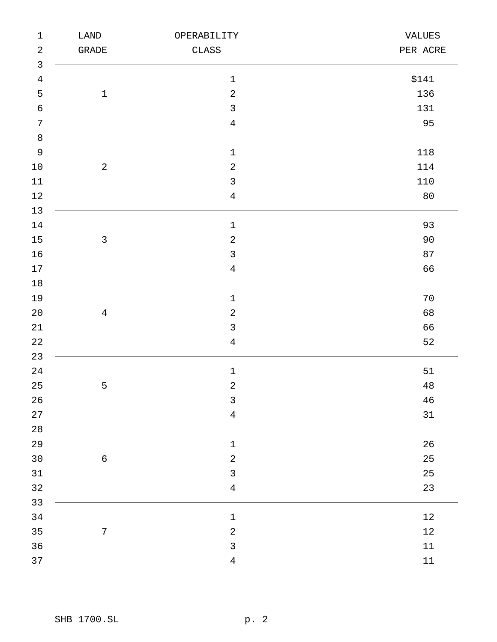| $\mathbf 1$    | ${\rm LAND}$           | OPERABILITY      | VALUES   |
|----------------|------------------------|------------------|----------|
| $\sqrt{2}$     | $\operatorname{GRADE}$ | $\texttt{CLASS}$ | PER ACRE |
| $\mathsf{3}$   |                        |                  |          |
| $\overline{4}$ |                        | $\mathbf 1$      | \$141    |
| 5              | $\mathbf 1$            | $\sqrt{2}$       | 136      |
| $\sqrt{6}$     |                        | $\mathbf{3}$     | 131      |
| $\sqrt{ }$     |                        | $\overline{4}$   | 95       |
| $\,8\,$        |                        |                  |          |
| $\mathsf 9$    |                        | $\mathbf 1$      | 118      |
| $10\,$         | $\sqrt{2}$             | $\sqrt{2}$       | 114      |
| 11             |                        | $\mathfrak{Z}$   | 110      |
| $12\,$         |                        | $\sqrt{4}$       | 80       |
| 13             |                        |                  |          |
| $14\,$         |                        | $\mathbf 1$      | 93       |
| 15             | $\mathfrak{Z}$         | $\sqrt{2}$       | 90       |
| 16             |                        | $\mathfrak{Z}$   | 87       |
| $17\,$         |                        | $\overline{4}$   | 66       |
| $18\,$         |                        |                  |          |
| 19             |                        | $\mathbf 1$      | 70       |
| $20$           | $\overline{4}$         | $\sqrt{2}$       | 68       |
| $21\,$         |                        | $\mathfrak{Z}$   | 66       |
| $2\sqrt{2}$    |                        | $\overline{4}$   | 52       |
| 23             |                        |                  |          |
| 24             |                        | $\mathbf 1$      | 51       |
| 25             | 5                      | $\sqrt{2}$       | $4\,8$   |
| $26\,$         |                        | $\mathsf{3}$     | $46\,$   |
| 27             |                        | $\overline{4}$   | 31       |
| $2\,8$         |                        |                  |          |
| 29             |                        | $\mathbf 1$      | $26\,$   |
| 30             | $\epsilon$             | $\sqrt{2}$       | 25       |
| 31             |                        | $\mathsf{3}$     | $25\,$   |
| 32             |                        | $\,4$            | 23       |
| 33             |                        |                  |          |
| 34             |                        | $\mathbf 1$      | $12\,$   |
| 35             | $\sqrt{ }$             | $\sqrt{2}$       | $12\,$   |
| 36             |                        | $\mathbf{3}$     | $11\,$   |
| 37             |                        | $\,4$            | $11\,$   |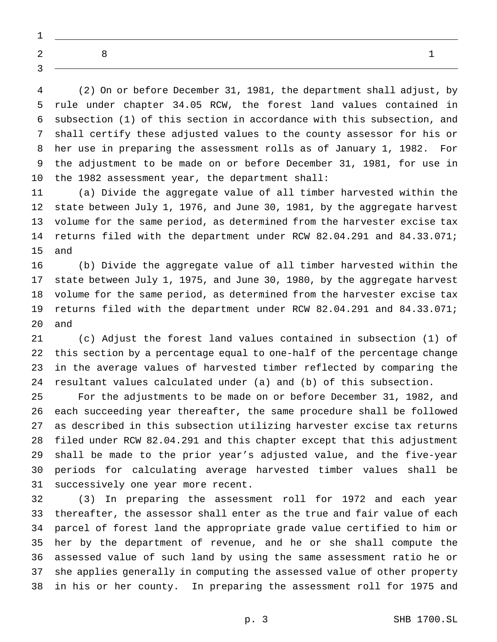(2) On or before December 31, 1981, the department shall adjust, by rule under chapter 34.05 RCW, the forest land values contained in subsection (1) of this section in accordance with this subsection, and shall certify these adjusted values to the county assessor for his or her use in preparing the assessment rolls as of January 1, 1982. For the adjustment to be made on or before December 31, 1981, for use in the 1982 assessment year, the department shall:

 (a) Divide the aggregate value of all timber harvested within the state between July 1, 1976, and June 30, 1981, by the aggregate harvest volume for the same period, as determined from the harvester excise tax returns filed with the department under RCW 82.04.291 and 84.33.071; and

 (b) Divide the aggregate value of all timber harvested within the state between July 1, 1975, and June 30, 1980, by the aggregate harvest volume for the same period, as determined from the harvester excise tax returns filed with the department under RCW 82.04.291 and 84.33.071; and

 (c) Adjust the forest land values contained in subsection (1) of this section by a percentage equal to one-half of the percentage change in the average values of harvested timber reflected by comparing the resultant values calculated under (a) and (b) of this subsection.

 For the adjustments to be made on or before December 31, 1982, and each succeeding year thereafter, the same procedure shall be followed as described in this subsection utilizing harvester excise tax returns filed under RCW 82.04.291 and this chapter except that this adjustment shall be made to the prior year's adjusted value, and the five-year periods for calculating average harvested timber values shall be successively one year more recent.

 (3) In preparing the assessment roll for 1972 and each year thereafter, the assessor shall enter as the true and fair value of each parcel of forest land the appropriate grade value certified to him or her by the department of revenue, and he or she shall compute the assessed value of such land by using the same assessment ratio he or she applies generally in computing the assessed value of other property in his or her county. In preparing the assessment roll for 1975 and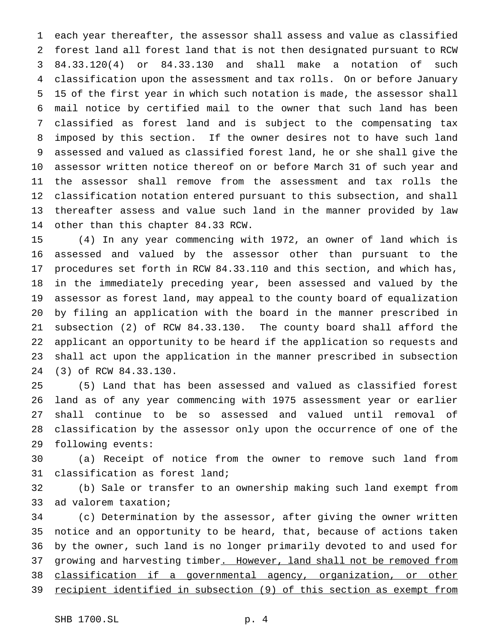each year thereafter, the assessor shall assess and value as classified forest land all forest land that is not then designated pursuant to RCW 84.33.120(4) or 84.33.130 and shall make a notation of such classification upon the assessment and tax rolls. On or before January 15 of the first year in which such notation is made, the assessor shall mail notice by certified mail to the owner that such land has been classified as forest land and is subject to the compensating tax imposed by this section. If the owner desires not to have such land assessed and valued as classified forest land, he or she shall give the assessor written notice thereof on or before March 31 of such year and the assessor shall remove from the assessment and tax rolls the classification notation entered pursuant to this subsection, and shall thereafter assess and value such land in the manner provided by law other than this chapter 84.33 RCW.

 (4) In any year commencing with 1972, an owner of land which is assessed and valued by the assessor other than pursuant to the procedures set forth in RCW 84.33.110 and this section, and which has, in the immediately preceding year, been assessed and valued by the assessor as forest land, may appeal to the county board of equalization by filing an application with the board in the manner prescribed in subsection (2) of RCW 84.33.130. The county board shall afford the applicant an opportunity to be heard if the application so requests and shall act upon the application in the manner prescribed in subsection (3) of RCW 84.33.130.

 (5) Land that has been assessed and valued as classified forest land as of any year commencing with 1975 assessment year or earlier shall continue to be so assessed and valued until removal of classification by the assessor only upon the occurrence of one of the following events:

 (a) Receipt of notice from the owner to remove such land from classification as forest land;

 (b) Sale or transfer to an ownership making such land exempt from ad valorem taxation;

 (c) Determination by the assessor, after giving the owner written notice and an opportunity to be heard, that, because of actions taken by the owner, such land is no longer primarily devoted to and used for 37 growing and harvesting timber. However, land shall not be removed from classification if a governmental agency, organization, or other recipient identified in subsection (9) of this section as exempt from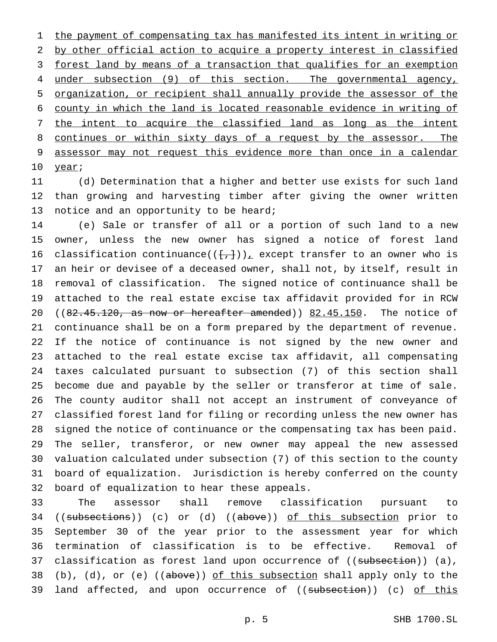1 the payment of compensating tax has manifested its intent in writing or by other official action to acquire a property interest in classified 3 forest land by means of a transaction that qualifies for an exemption under subsection (9) of this section. The governmental agency, organization, or recipient shall annually provide the assessor of the county in which the land is located reasonable evidence in writing of the intent to acquire the classified land as long as the intent 8 continues or within sixty days of a request by the assessor. The assessor may not request this evidence more than once in a calendar 10 year;

 (d) Determination that a higher and better use exists for such land than growing and harvesting timber after giving the owner written 13 notice and an opportunity to be heard;

 (e) Sale or transfer of all or a portion of such land to a new owner, unless the new owner has signed a notice of forest land 16 classification continuance( $(\{+, \})_L$  except transfer to an owner who is an heir or devisee of a deceased owner, shall not, by itself, result in removal of classification. The signed notice of continuance shall be attached to the real estate excise tax affidavit provided for in RCW  $((82.45.120, as now or hereafter amended)) 82.45.150. The notice of$  continuance shall be on a form prepared by the department of revenue. If the notice of continuance is not signed by the new owner and attached to the real estate excise tax affidavit, all compensating taxes calculated pursuant to subsection (7) of this section shall become due and payable by the seller or transferor at time of sale. The county auditor shall not accept an instrument of conveyance of classified forest land for filing or recording unless the new owner has signed the notice of continuance or the compensating tax has been paid. The seller, transferor, or new owner may appeal the new assessed valuation calculated under subsection (7) of this section to the county board of equalization. Jurisdiction is hereby conferred on the county board of equalization to hear these appeals.

 The assessor shall remove classification pursuant to 34 ((subsections)) (c) or (d) ((above)) of this subsection prior to September 30 of the year prior to the assessment year for which termination of classification is to be effective. Removal of 37 classification as forest land upon occurrence of ((subsection)) (a), 38 (b), (d), or (e) ((above)) of this subsection shall apply only to the 39 land affected, and upon occurrence of ((subsection)) (c) of this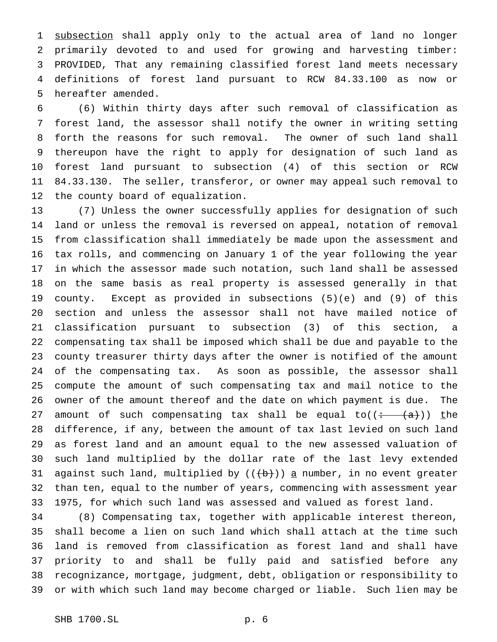1 subsection shall apply only to the actual area of land no longer primarily devoted to and used for growing and harvesting timber: PROVIDED, That any remaining classified forest land meets necessary definitions of forest land pursuant to RCW 84.33.100 as now or hereafter amended.

 (6) Within thirty days after such removal of classification as forest land, the assessor shall notify the owner in writing setting forth the reasons for such removal. The owner of such land shall thereupon have the right to apply for designation of such land as forest land pursuant to subsection (4) of this section or RCW 84.33.130. The seller, transferor, or owner may appeal such removal to the county board of equalization.

 (7) Unless the owner successfully applies for designation of such land or unless the removal is reversed on appeal, notation of removal from classification shall immediately be made upon the assessment and tax rolls, and commencing on January 1 of the year following the year in which the assessor made such notation, such land shall be assessed on the same basis as real property is assessed generally in that county. Except as provided in subsections (5)(e) and (9) of this section and unless the assessor shall not have mailed notice of classification pursuant to subsection (3) of this section, a compensating tax shall be imposed which shall be due and payable to the county treasurer thirty days after the owner is notified of the amount of the compensating tax. As soon as possible, the assessor shall compute the amount of such compensating tax and mail notice to the owner of the amount thereof and the date on which payment is due. The 27 amount of such compensating tax shall be equal to( $(\div -\langle a\rangle)$ ) the difference, if any, between the amount of tax last levied on such land as forest land and an amount equal to the new assessed valuation of such land multiplied by the dollar rate of the last levy extended 31 against such land, multiplied by  $((+b))$  a number, in no event greater than ten, equal to the number of years, commencing with assessment year 1975, for which such land was assessed and valued as forest land.

 (8) Compensating tax, together with applicable interest thereon, shall become a lien on such land which shall attach at the time such land is removed from classification as forest land and shall have priority to and shall be fully paid and satisfied before any recognizance, mortgage, judgment, debt, obligation or responsibility to or with which such land may become charged or liable. Such lien may be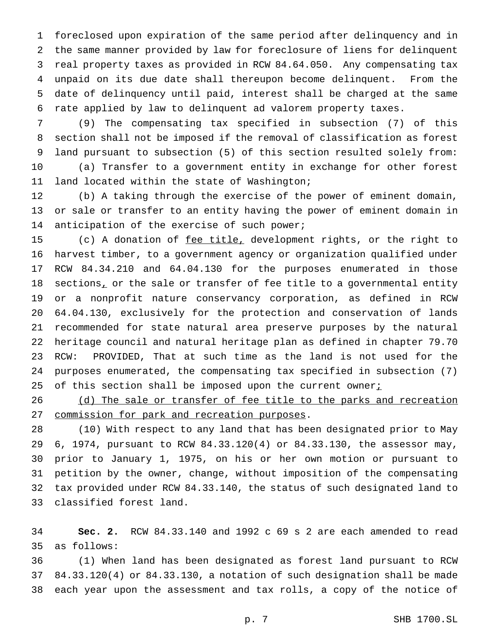foreclosed upon expiration of the same period after delinquency and in the same manner provided by law for foreclosure of liens for delinquent real property taxes as provided in RCW 84.64.050. Any compensating tax unpaid on its due date shall thereupon become delinquent. From the date of delinquency until paid, interest shall be charged at the same rate applied by law to delinquent ad valorem property taxes.

 (9) The compensating tax specified in subsection (7) of this section shall not be imposed if the removal of classification as forest land pursuant to subsection (5) of this section resulted solely from: (a) Transfer to a government entity in exchange for other forest

land located within the state of Washington;

 (b) A taking through the exercise of the power of eminent domain, or sale or transfer to an entity having the power of eminent domain in 14 anticipation of the exercise of such power;

15 (c) A donation of fee title, development rights, or the right to harvest timber, to a government agency or organization qualified under RCW 84.34.210 and 64.04.130 for the purposes enumerated in those 18 sections, or the sale or transfer of fee title to a governmental entity or a nonprofit nature conservancy corporation, as defined in RCW 64.04.130, exclusively for the protection and conservation of lands recommended for state natural area preserve purposes by the natural heritage council and natural heritage plan as defined in chapter 79.70 RCW: PROVIDED, That at such time as the land is not used for the purposes enumerated, the compensating tax specified in subsection (7) 25 of this section shall be imposed upon the current owner $i$ 

26 (d) The sale or transfer of fee title to the parks and recreation commission for park and recreation purposes.

 (10) With respect to any land that has been designated prior to May 6, 1974, pursuant to RCW 84.33.120(4) or 84.33.130, the assessor may, prior to January 1, 1975, on his or her own motion or pursuant to petition by the owner, change, without imposition of the compensating tax provided under RCW 84.33.140, the status of such designated land to classified forest land.

 **Sec. 2.** RCW 84.33.140 and 1992 c 69 s 2 are each amended to read as follows:

 (1) When land has been designated as forest land pursuant to RCW 84.33.120(4) or 84.33.130, a notation of such designation shall be made each year upon the assessment and tax rolls, a copy of the notice of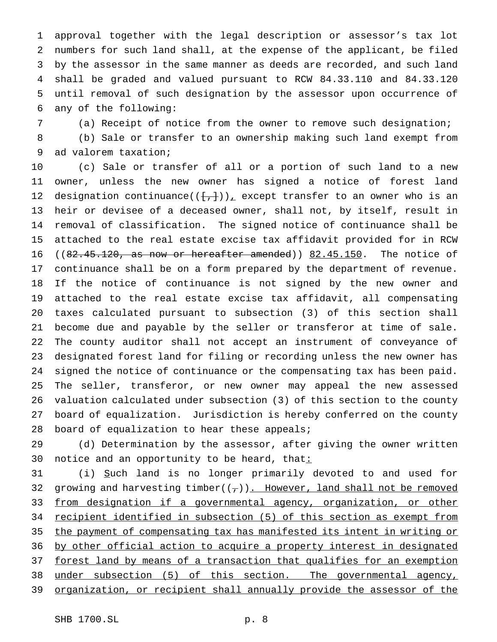approval together with the legal description or assessor's tax lot numbers for such land shall, at the expense of the applicant, be filed by the assessor in the same manner as deeds are recorded, and such land shall be graded and valued pursuant to RCW 84.33.110 and 84.33.120 until removal of such designation by the assessor upon occurrence of any of the following:

(a) Receipt of notice from the owner to remove such designation;

 (b) Sale or transfer to an ownership making such land exempt from ad valorem taxation;

 (c) Sale or transfer of all or a portion of such land to a new owner, unless the new owner has signed a notice of forest land 12 designation continuance( $(\{+, \})_L$  except transfer to an owner who is an heir or devisee of a deceased owner, shall not, by itself, result in removal of classification. The signed notice of continuance shall be attached to the real estate excise tax affidavit provided for in RCW  $((82.45.120, as now or hereafter amended)) 82.45.150. The notice of$  continuance shall be on a form prepared by the department of revenue. If the notice of continuance is not signed by the new owner and attached to the real estate excise tax affidavit, all compensating taxes calculated pursuant to subsection (3) of this section shall become due and payable by the seller or transferor at time of sale. The county auditor shall not accept an instrument of conveyance of designated forest land for filing or recording unless the new owner has signed the notice of continuance or the compensating tax has been paid. The seller, transferor, or new owner may appeal the new assessed valuation calculated under subsection (3) of this section to the county board of equalization. Jurisdiction is hereby conferred on the county 28 board of equalization to hear these appeals;

 (d) Determination by the assessor, after giving the owner written 30 notice and an opportunity to be heard, that:

31 (i) Such land is no longer primarily devoted to and used for 32 growing and harvesting timber( $(\tau)$ ). However, land shall not be removed 33 from designation if a governmental agency, organization, or other recipient identified in subsection (5) of this section as exempt from the payment of compensating tax has manifested its intent in writing or by other official action to acquire a property interest in designated 37 forest land by means of a transaction that qualifies for an exemption under subsection (5) of this section. The governmental agency, organization, or recipient shall annually provide the assessor of the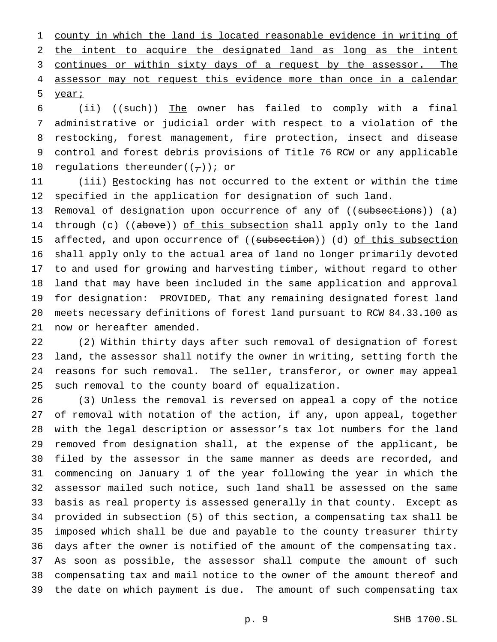county in which the land is located reasonable evidence in writing of the intent to acquire the designated land as long as the intent 3 continues or within sixty days of a request by the assessor. The 4 assessor may not request this evidence more than once in a calendar year;

 (ii) ((such)) The owner has failed to comply with a final administrative or judicial order with respect to a violation of the restocking, forest management, fire protection, insect and disease control and forest debris provisions of Title 76 RCW or any applicable 10 regulations thereunder( $(\tau)$ ) i or

 (iii) Restocking has not occurred to the extent or within the time specified in the application for designation of such land.

13 Removal of designation upon occurrence of any of ((subsections)) (a) 14 through (c) ((above)) of this subsection shall apply only to the land 15 affected, and upon occurrence of ((subsection)) (d) of this subsection shall apply only to the actual area of land no longer primarily devoted to and used for growing and harvesting timber, without regard to other land that may have been included in the same application and approval for designation: PROVIDED, That any remaining designated forest land meets necessary definitions of forest land pursuant to RCW 84.33.100 as now or hereafter amended.

 (2) Within thirty days after such removal of designation of forest land, the assessor shall notify the owner in writing, setting forth the reasons for such removal. The seller, transferor, or owner may appeal such removal to the county board of equalization.

 (3) Unless the removal is reversed on appeal a copy of the notice of removal with notation of the action, if any, upon appeal, together with the legal description or assessor's tax lot numbers for the land removed from designation shall, at the expense of the applicant, be filed by the assessor in the same manner as deeds are recorded, and commencing on January 1 of the year following the year in which the assessor mailed such notice, such land shall be assessed on the same basis as real property is assessed generally in that county. Except as provided in subsection (5) of this section, a compensating tax shall be imposed which shall be due and payable to the county treasurer thirty days after the owner is notified of the amount of the compensating tax. As soon as possible, the assessor shall compute the amount of such compensating tax and mail notice to the owner of the amount thereof and the date on which payment is due. The amount of such compensating tax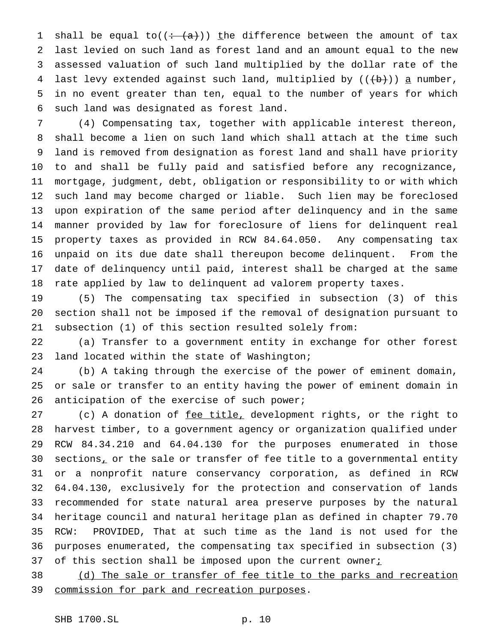1 shall be equal to( $(+ (a))$ ) the difference between the amount of tax last levied on such land as forest land and an amount equal to the new assessed valuation of such land multiplied by the dollar rate of the 4 last levy extended against such land, multiplied by  $((+b))$  a number, in no event greater than ten, equal to the number of years for which such land was designated as forest land.

 (4) Compensating tax, together with applicable interest thereon, shall become a lien on such land which shall attach at the time such land is removed from designation as forest land and shall have priority to and shall be fully paid and satisfied before any recognizance, mortgage, judgment, debt, obligation or responsibility to or with which such land may become charged or liable. Such lien may be foreclosed upon expiration of the same period after delinquency and in the same manner provided by law for foreclosure of liens for delinquent real property taxes as provided in RCW 84.64.050. Any compensating tax unpaid on its due date shall thereupon become delinquent. From the date of delinquency until paid, interest shall be charged at the same rate applied by law to delinquent ad valorem property taxes.

 (5) The compensating tax specified in subsection (3) of this section shall not be imposed if the removal of designation pursuant to subsection (1) of this section resulted solely from:

 (a) Transfer to a government entity in exchange for other forest land located within the state of Washington;

 (b) A taking through the exercise of the power of eminent domain, or sale or transfer to an entity having the power of eminent domain in 26 anticipation of the exercise of such power;

27 (c) A donation of fee title, development rights, or the right to harvest timber, to a government agency or organization qualified under RCW 84.34.210 and 64.04.130 for the purposes enumerated in those  $sections<sub>L</sub>$  or the sale or transfer of fee title to a governmental entity or a nonprofit nature conservancy corporation, as defined in RCW 64.04.130, exclusively for the protection and conservation of lands recommended for state natural area preserve purposes by the natural heritage council and natural heritage plan as defined in chapter 79.70 RCW: PROVIDED, That at such time as the land is not used for the purposes enumerated, the compensating tax specified in subsection (3) 37 of this section shall be imposed upon the current owner $i$ 

 (d) The sale or transfer of fee title to the parks and recreation commission for park and recreation purposes.